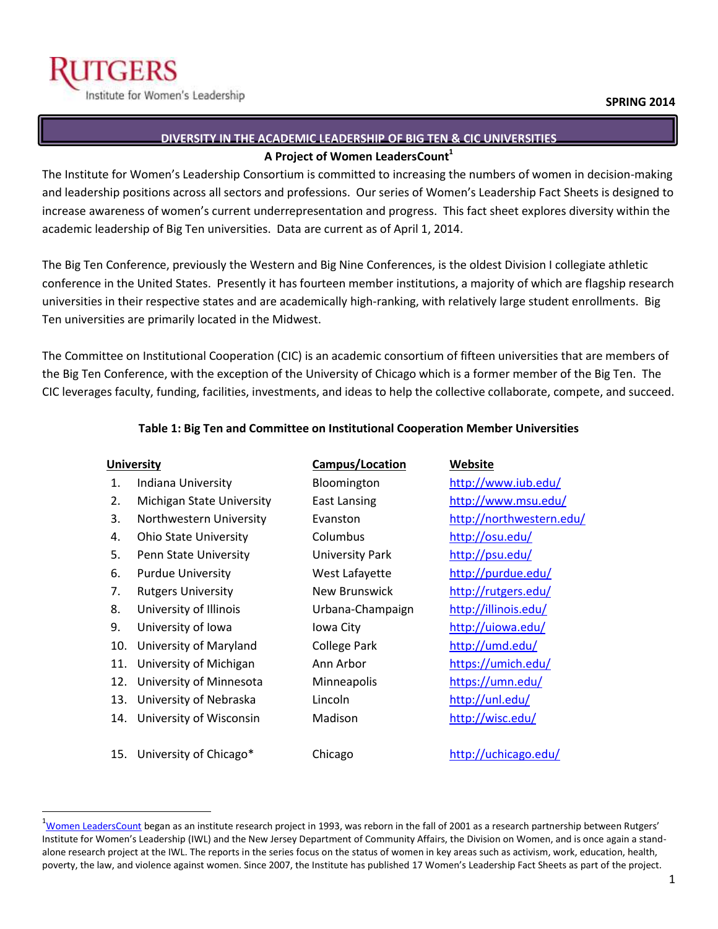$\overline{a}$ 

# **DIVERSITY IN THE ACADEMIC LEADERSHIP OF BIG TEN & CIC UNIVERSITIES A Project of Women LeadersCount<sup>1</sup>**

The Institute for Women's Leadership Consortium is committed to increasing the numbers of women in decision-making and leadership positions across all sectors and professions. Our series of Women's Leadership Fact Sheets is designed to increase awareness of women's current underrepresentation and progress. This fact sheet explores diversity within the academic leadership of Big Ten universities. Data are current as of April 1, 2014.

The Big Ten Conference, previously the Western and Big Nine Conferences, is the oldest Division I collegiate athletic conference in the United States. Presently it has fourteen member institutions, a majority of which are flagship research universities in their respective states and are academically high-ranking, with relatively large student enrollments. Big Ten universities are primarily located in the Midwest.

The Committee on Institutional Cooperation (CIC) is an academic consortium of fifteen universities that are members of the Big Ten Conference, with the exception of the University of Chicago which is a former member of the Big Ten. The CIC leverages faculty, funding, facilities, investments, and ideas to help the collective collaborate, compete, and succeed.

#### **Table 1: Big Ten and Committee on Institutional Cooperation Member Universities**

| <b>University</b> |                              | <b>Campus/Location</b> | Website                  |
|-------------------|------------------------------|------------------------|--------------------------|
| 1.                | Indiana University           | Bloomington            | http://www.iub.edu/      |
| 2.                | Michigan State University    | East Lansing           | http://www.msu.edu/      |
| 3.                | Northwestern University      | Evanston               | http://northwestern.edu/ |
| 4.                | <b>Ohio State University</b> | Columbus               | http://osu.edu/          |
| 5.                | Penn State University        | <b>University Park</b> | http://psu.edu/          |
| 6.                | <b>Purdue University</b>     | West Lafayette         | http://purdue.edu/       |
| 7.                | <b>Rutgers University</b>    | New Brunswick          | http://rutgers.edu/      |
| 8.                | University of Illinois       | Urbana-Champaign       | http://illinois.edu/     |
| 9.                | University of Iowa           | Iowa City              | http://uiowa.edu/        |
| 10.               | University of Maryland       | <b>College Park</b>    | http://umd.edu/          |
| 11.               | University of Michigan       | Ann Arbor              | https://umich.edu/       |
| 12.               | University of Minnesota      | Minneapolis            | https://umn.edu/         |
| 13.               | University of Nebraska       | Lincoln                | http://unl.edu/          |
| 14.               | University of Wisconsin      | Madison                | http://wisc.edu/         |
|                   |                              |                        |                          |
| 15.               | University of Chicago*       | Chicago                | http://uchicago.edu/     |
|                   |                              |                        |                          |

<sup>&</sup>lt;sup>1</sup>[Women LeadersCount](http://iwl.rutgers.edu/research_publications.html) began as an institute research project in 1993, was reborn in the fall of 2001 as a research partnership between Rutgers' Institute for Women's Leadership (IWL) and the New Jersey Department of Community Affairs, the Division on Women, and is once again a standalone research project at the IWL. The reports in the series focus on the status of women in key areas such as activism, work, education, health, poverty, the law, and violence against women. Since 2007, the Institute has published 17 Women's Leadership Fact Sheets as part of the project.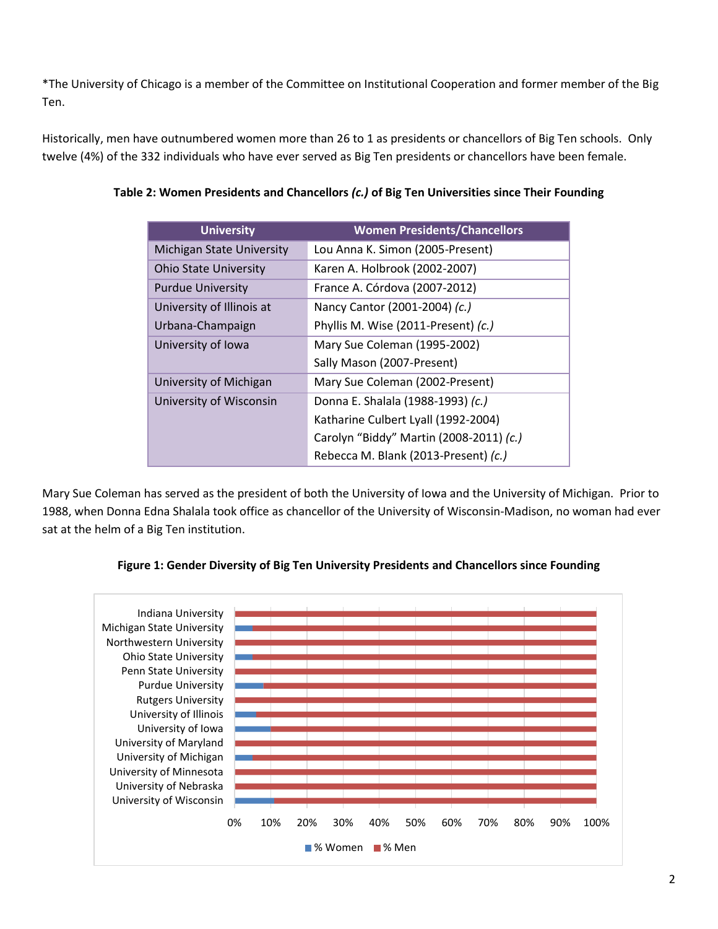\*The University of Chicago is a member of the Committee on Institutional Cooperation and former member of the Big Ten.

Historically, men have outnumbered women more than 26 to 1 as presidents or chancellors of Big Ten schools. Only twelve (4%) of the 332 individuals who have ever served as Big Ten presidents or chancellors have been female.

| <b>University</b>            | <b>Women Presidents/Chancellors</b>     |  |
|------------------------------|-----------------------------------------|--|
| Michigan State University    | Lou Anna K. Simon (2005-Present)        |  |
| <b>Ohio State University</b> | Karen A. Holbrook (2002-2007)           |  |
| <b>Purdue University</b>     | France A. Córdova (2007-2012)           |  |
| University of Illinois at    | Nancy Cantor (2001-2004) (c.)           |  |
| Urbana-Champaign             | Phyllis M. Wise (2011-Present) (c.)     |  |
| University of Iowa           | Mary Sue Coleman (1995-2002)            |  |
|                              | Sally Mason (2007-Present)              |  |
| University of Michigan       | Mary Sue Coleman (2002-Present)         |  |
| University of Wisconsin      | Donna E. Shalala (1988-1993) (c.)       |  |
|                              | Katharine Culbert Lyall (1992-2004)     |  |
|                              | Carolyn "Biddy" Martin (2008-2011) (c.) |  |
|                              | Rebecca M. Blank (2013-Present) (c.)    |  |

### **Table 2: Women Presidents and Chancellors** *(c.)* **of Big Ten Universities since Their Founding**

Mary Sue Coleman has served as the president of both the University of Iowa and the University of Michigan. Prior to 1988, when Donna Edna Shalala took office as chancellor of the University of Wisconsin-Madison, no woman had ever sat at the helm of a Big Ten institution.



#### **Figure 1: Gender Diversity of Big Ten University Presidents and Chancellors since Founding**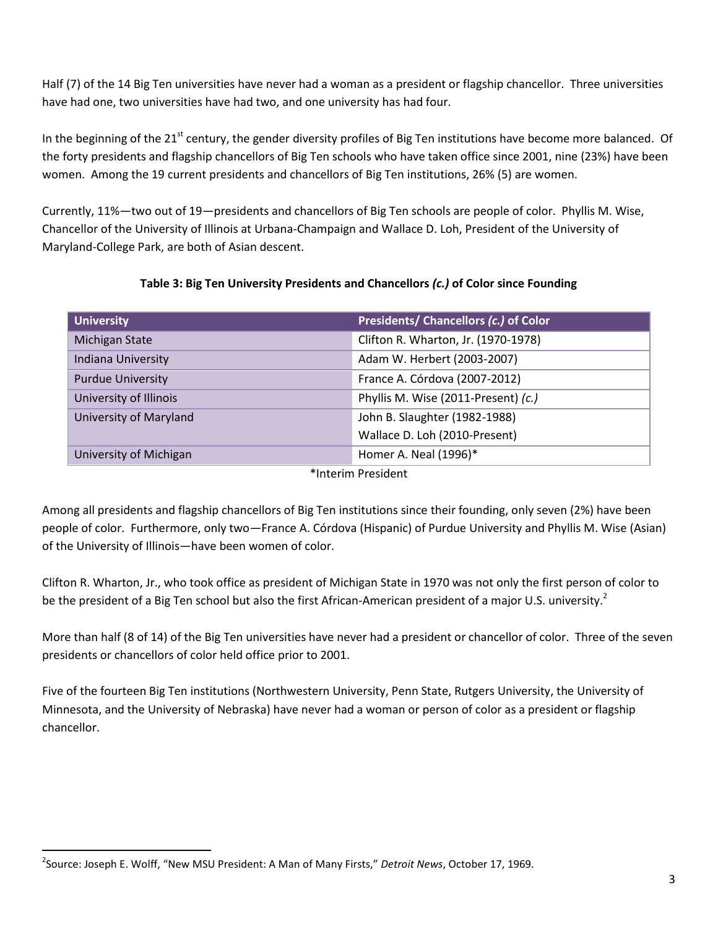Half (7) of the 14 Big Ten universities have never had a woman as a president or flagship chancellor. Three universities have had one, two universities have had two, and one university has had four.

In the beginning of the 21 $^{\rm st}$  century, the gender diversity profiles of Big Ten institutions have become more balanced. Of the forty presidents and flagship chancellors of Big Ten schools who have taken office since 2001, nine (23%) have been women. Among the 19 current presidents and chancellors of Big Ten institutions, 26% (5) are women.

Currently, 11%—two out of 19—presidents and chancellors of Big Ten schools are people of color. Phyllis M. Wise, Chancellor of the University of Illinois at Urbana-Champaign and Wallace D. Loh, President of the University of Maryland-College Park, are both of Asian descent.

# **Table 3: Big Ten University Presidents and Chancellors** *(c.)* **of Color since Founding**

| Presidents/ Chancellors (c.) of Color |  |
|---------------------------------------|--|
| Clifton R. Wharton, Jr. (1970-1978)   |  |
| Adam W. Herbert (2003-2007)           |  |
| France A. Córdova (2007-2012)         |  |
| Phyllis M. Wise (2011-Present) (c.)   |  |
| John B. Slaughter (1982-1988)         |  |
| Wallace D. Loh (2010-Present)         |  |
| Homer A. Neal (1996)*                 |  |
|                                       |  |

\*Interim President

Among all presidents and flagship chancellors of Big Ten institutions since their founding, only seven (2%) have been people of color. Furthermore, only two—France A. Córdova (Hispanic) of Purdue University and Phyllis M. Wise (Asian) of the University of Illinois—have been women of color.

Clifton R. Wharton, Jr., who took office as president of Michigan State in 1970 was not only the first person of color to be the president of a Big Ten school but also the first African-American president of a major U.S. university.<sup>2</sup>

More than half (8 of 14) of the Big Ten universities have never had a president or chancellor of color. Three of the seven presidents or chancellors of color held office prior to 2001.

Five of the fourteen Big Ten institutions (Northwestern University, Penn State, Rutgers University, the University of Minnesota, and the University of Nebraska) have never had a woman or person of color as a president or flagship chancellor.

 $\overline{a}$ 

<sup>2</sup> Source: Joseph E. Wolff, "New MSU President: A Man of Many Firsts," *Detroit News*, October 17, 1969.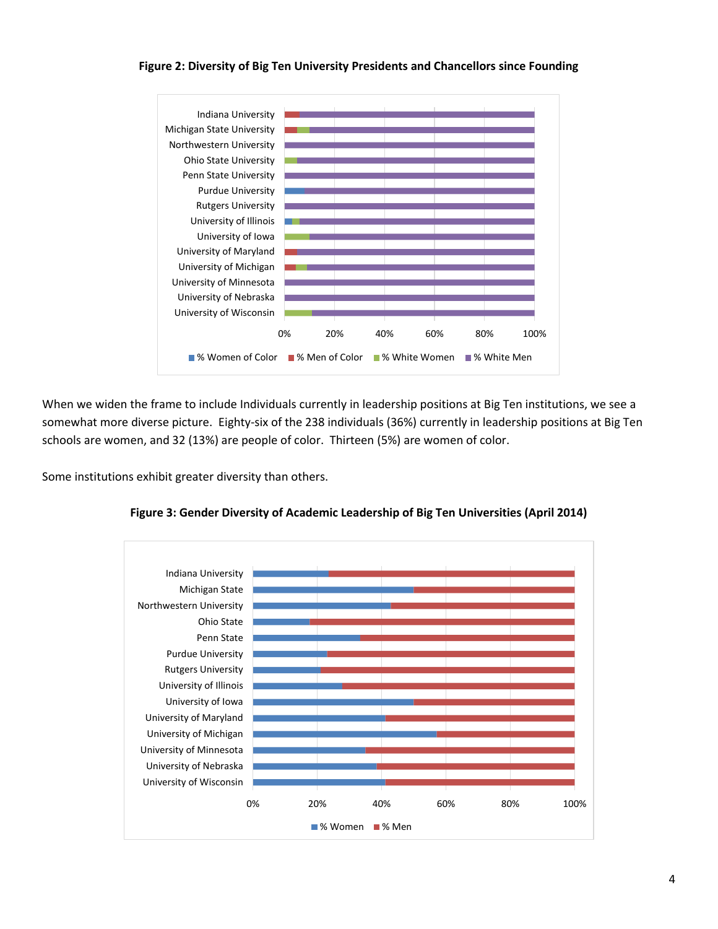#### **Figure 2: Diversity of Big Ten University Presidents and Chancellors since Founding**



When we widen the frame to include Individuals currently in leadership positions at Big Ten institutions, we see a somewhat more diverse picture. Eighty-six of the 238 individuals (36%) currently in leadership positions at Big Ten schools are women, and 32 (13%) are people of color. Thirteen (5%) are women of color.

Some institutions exhibit greater diversity than others.



**Figure 3: Gender Diversity of Academic Leadership of Big Ten Universities (April 2014)**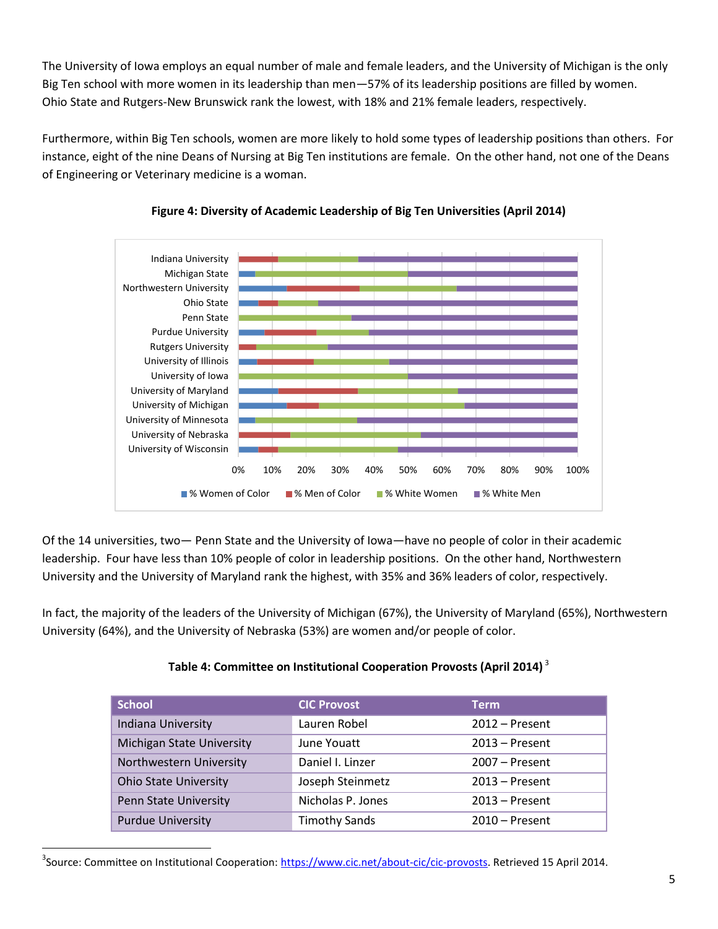The University of Iowa employs an equal number of male and female leaders, and the University of Michigan is the only Big Ten school with more women in its leadership than men—57% of its leadership positions are filled by women. Ohio State and Rutgers-New Brunswick rank the lowest, with 18% and 21% female leaders, respectively.

Furthermore, within Big Ten schools, women are more likely to hold some types of leadership positions than others. For instance, eight of the nine Deans of Nursing at Big Ten institutions are female. On the other hand, not one of the Deans of Engineering or Veterinary medicine is a woman.





Of the 14 universities, two— Penn State and the University of Iowa—have no people of color in their academic leadership. Four have less than 10% people of color in leadership positions. On the other hand, Northwestern University and the University of Maryland rank the highest, with 35% and 36% leaders of color, respectively.

In fact, the majority of the leaders of the University of Michigan (67%), the University of Maryland (65%), Northwestern University (64%), and the University of Nebraska (53%) are women and/or people of color.

| <b>School</b>                    | <b>CIC Provost</b>   | <b>Term</b>      |
|----------------------------------|----------------------|------------------|
| Indiana University               | Lauren Robel         | $2012$ – Present |
| <b>Michigan State University</b> | June Youatt          | $2013$ – Present |
| Northwestern University          | Daniel I. Linzer     | $2007 -$ Present |
| <b>Ohio State University</b>     | Joseph Steinmetz     | $2013$ – Present |
| Penn State University            | Nicholas P. Jones    | $2013$ – Present |
| <b>Purdue University</b>         | <b>Timothy Sands</b> | $2010$ – Present |

# **Table 4: Committee on Institutional Cooperation Provosts (April 2014)** <sup>3</sup>

l

<sup>&</sup>lt;sup>3</sup>Source: Committee on Institutional Cooperation[: https://www.cic.net/about-cic/cic-provosts.](https://www.cic.net/about-cic/cic-provosts) Retrieved 15 April 2014.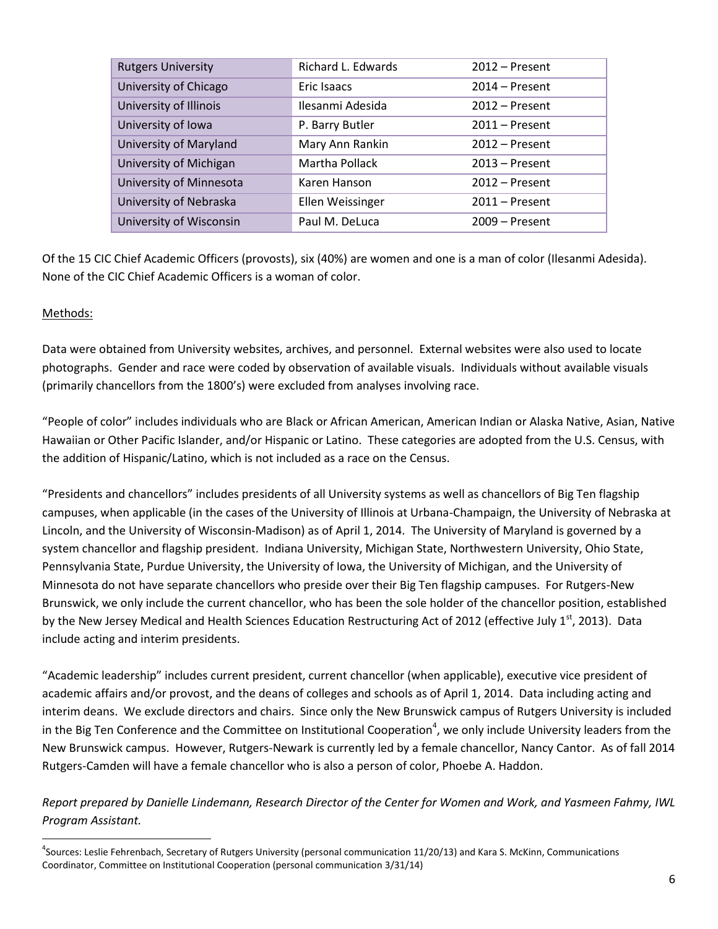| <b>Rutgers University</b> | Richard L. Edwards | $2012$ – Present |
|---------------------------|--------------------|------------------|
| University of Chicago     | Eric Isaacs        | $2014 -$ Present |
| University of Illinois    | Ilesanmi Adesida   | $2012$ – Present |
| University of Iowa        | P. Barry Butler    | $2011 -$ Present |
| University of Maryland    | Mary Ann Rankin    | $2012$ – Present |
| University of Michigan    | Martha Pollack     | $2013$ – Present |
| University of Minnesota   | Karen Hanson       | $2012$ – Present |
| University of Nebraska    | Ellen Weissinger   | $2011 -$ Present |
| University of Wisconsin   | Paul M. DeLuca     | $2009 -$ Present |

Of the 15 CIC Chief Academic Officers (provosts), six (40%) are women and one is a man of color (Ilesanmi Adesida). None of the CIC Chief Academic Officers is a woman of color.

#### Methods:

 $\overline{a}$ 

Data were obtained from University websites, archives, and personnel. External websites were also used to locate photographs. Gender and race were coded by observation of available visuals. Individuals without available visuals (primarily chancellors from the 1800's) were excluded from analyses involving race.

"People of color" includes individuals who are Black or African American, American Indian or Alaska Native, Asian, Native Hawaiian or Other Pacific Islander, and/or Hispanic or Latino. These categories are adopted from the U.S. Census, with the addition of Hispanic/Latino, which is not included as a race on the Census.

"Presidents and chancellors" includes presidents of all University systems as well as chancellors of Big Ten flagship campuses, when applicable (in the cases of the University of Illinois at Urbana-Champaign, the University of Nebraska at Lincoln, and the University of Wisconsin-Madison) as of April 1, 2014. The University of Maryland is governed by a system chancellor and flagship president. Indiana University, Michigan State, Northwestern University, Ohio State, Pennsylvania State, Purdue University, the University of Iowa, the University of Michigan, and the University of Minnesota do not have separate chancellors who preside over their Big Ten flagship campuses. For Rutgers-New Brunswick, we only include the current chancellor, who has been the sole holder of the chancellor position, established by the New Jersey Medical and Health Sciences Education Restructuring Act of 2012 (effective July 1st, 2013). Data include acting and interim presidents.

"Academic leadership" includes current president, current chancellor (when applicable), executive vice president of academic affairs and/or provost, and the deans of colleges and schools as of April 1, 2014. Data including acting and interim deans. We exclude directors and chairs. Since only the New Brunswick campus of Rutgers University is included in the Big Ten Conference and the Committee on Institutional Cooperation<sup>4</sup>, we only include University leaders from the New Brunswick campus. However, Rutgers-Newark is currently led by a female chancellor, Nancy Cantor. As of fall 2014 Rutgers-Camden will have a female chancellor who is also a person of color, Phoebe A. Haddon.

*Report prepared by Danielle Lindemann, Research Director of the Center for Women and Work, and Yasmeen Fahmy, IWL Program Assistant.* 

<sup>&</sup>lt;sup>4</sup>Sources: Leslie Fehrenbach, Secretary of Rutgers University (personal communication 11/20/13) and Kara S. McKinn, Communications Coordinator, Committee on Institutional Cooperation (personal communication 3/31/14)